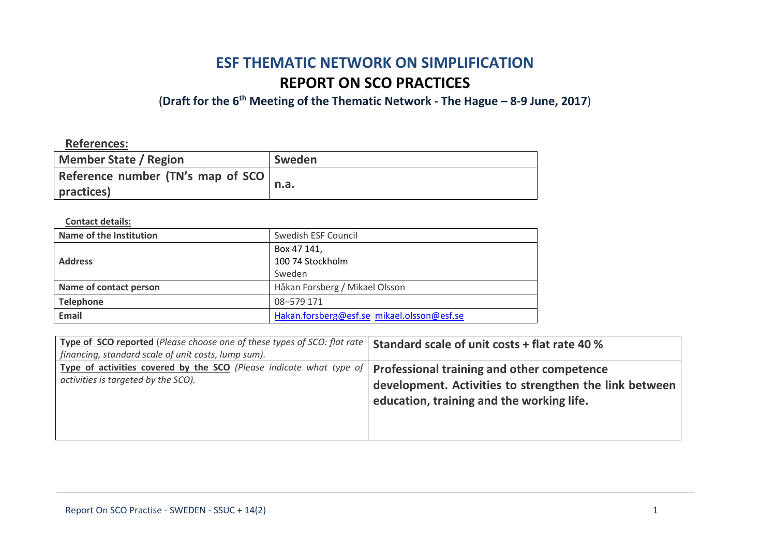# **ESF THEMATIC NETWORK ON SIMPLIFICATION REPORT ON SCO PRACTICES**

(**Draft for the 6th Meeting of the Thematic Network - The Hague – 8-9 June, 2017**)

**References:**

| <b>Member State / Region</b>       | Sweden |
|------------------------------------|--------|
| Reference number (TN's map of SCO) | n.a.   |
| practices)                         |        |

**Contact details:**

| Name of the Institution | Swedish ESF Council                        |
|-------------------------|--------------------------------------------|
| <b>Address</b>          | Box 47 141,                                |
|                         | 100 74 Stockholm                           |
|                         | Sweden                                     |
| Name of contact person  | Håkan Forsberg / Mikael Olsson             |
| <b>Telephone</b>        | 08-579 171                                 |
| <b>Email</b>            | Hakan.forsberg@esf.se mikael.olsson@esf.se |

| Type of SCO reported (Please choose one of these types of SCO: flat rate   Standard scale of unit costs + flat rate 40 % |                                                        |
|--------------------------------------------------------------------------------------------------------------------------|--------------------------------------------------------|
| financing, standard scale of unit costs, lump sum).                                                                      |                                                        |
| Type of activities covered by the SCO (Please indicate what type of   Professional training and other competence         |                                                        |
| activities is targeted by the SCO).                                                                                      | development. Activities to strengthen the link between |
|                                                                                                                          | education, training and the working life.              |
|                                                                                                                          |                                                        |
|                                                                                                                          |                                                        |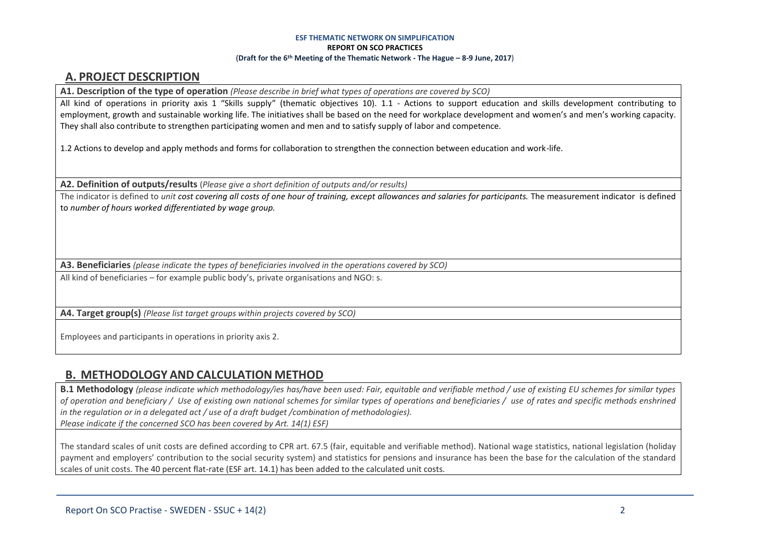### **A. PROJECT DESCRIPTION**

**A1. Description of the type of operation** *(Please describe in brief what types of operations are covered by SCO)*

All kind of operations in priority axis 1 "Skills supply" (thematic objectives 10). 1.1 - Actions to support education and skills development contributing to employment, growth and sustainable working life. The initiatives shall be based on the need for workplace development and women's and men's working capacity. They shall also contribute to strengthen participating women and men and to satisfy supply of labor and competence.

1.2 Actions to develop and apply methods and forms for collaboration to strengthen the connection between education and work-life.

**A2. Definition of outputs/results** (*Please give a short definition of outputs and/or results)*

The indicator is defined to *unit cost covering all costs of one hour of training, except allowances and salaries for participants.* The measurement indicator is defined to *number of hours worked differentiated by wage group.*

**A3. Beneficiaries** *(please indicate the types of beneficiaries involved in the operations covered by SCO)*

All kind of beneficiaries – for example public body's, private organisations and NGO: s.

**A4. Target group(s)** *(Please list target groups within projects covered by SCO)*

Employees and participants in operations in priority axis 2.

# **B. METHODOLOGY AND CALCULATION METHOD**

**B.1 Methodology** *(please indicate which methodology/ies has/have been used: Fair, equitable and verifiable method / use of existing EU schemes for similar types of operation and beneficiary / Use of existing own national schemes for similar types of operations and beneficiaries / use of rates and specific methods enshrined in the regulation or in a delegated act / use of a draft budget /combination of methodologies). Please indicate if the concerned SCO has been covered by Art. 14(1) ESF)*

The standard scales of unit costs are defined according to CPR art. 67.5 (fair, equitable and verifiable method). National wage statistics, national legislation (holiday

payment and employers' contribution to the social security system) and statistics for pensions and insurance has been the base for the calculation of the standard scales of unit costs. The 40 percent flat-rate (ESF art. 14.1) has been added to the calculated unit costs.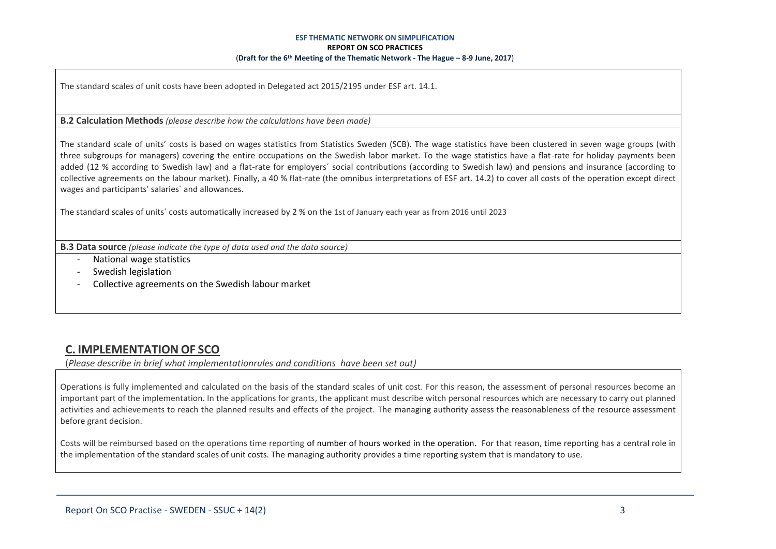The standard scales of unit costs have been adopted in Delegated act 2015/2195 under ESF art. 14.1.

### **B.2 Calculation Methods** *(please describe how the calculations have been made)*

The standard scale of units' costs is based on wages statistics from Statistics Sweden (SCB). The wage statistics have been clustered in seven wage groups (with three subgroups for managers) covering the entire occupations on the Swedish labor market. To the wage statistics have a flat-rate for holiday payments been added (12 % according to Swedish law) and a flat-rate for employers´ social contributions (according to Swedish law) and pensions and insurance (according to collective agreements on the labour market). Finally, a 40 % flat-rate (the omnibus interpretations of ESF art. 14.2) to cover all costs of the operation except direct wages and participants' salaries´ and allowances.

The standard scales of units´ costs automatically increased by 2 % on the 1st of January each year as from 2016 until 2023

**B.3 Data source** *(please indicate the type of data used and the data source)*

- National wage statistics
- Swedish legislation
- Collective agreements on the Swedish labour market

# **C. IMPLEMENTATION OF SCO**

(*Please describe in brief what implementationrules and conditions have been set out)*

Operations is fully implemented and calculated on the basis of the standard scales of unit cost. For this reason, the assessment of personal resources become an important part of the implementation. In the applications for grants, the applicant must describe witch personal resources which are necessary to carry out planned activities and achievements to reach the planned results and effects of the project. The managing authority assess the reasonableness of the resource assessment before grant decision.

Costs will be reimbursed based on the operations time reporting of number of hours worked in the operation. For that reason, time reporting has a central role in the implementation of the standard scales of unit costs. The managing authority provides a time reporting system that is mandatory to use.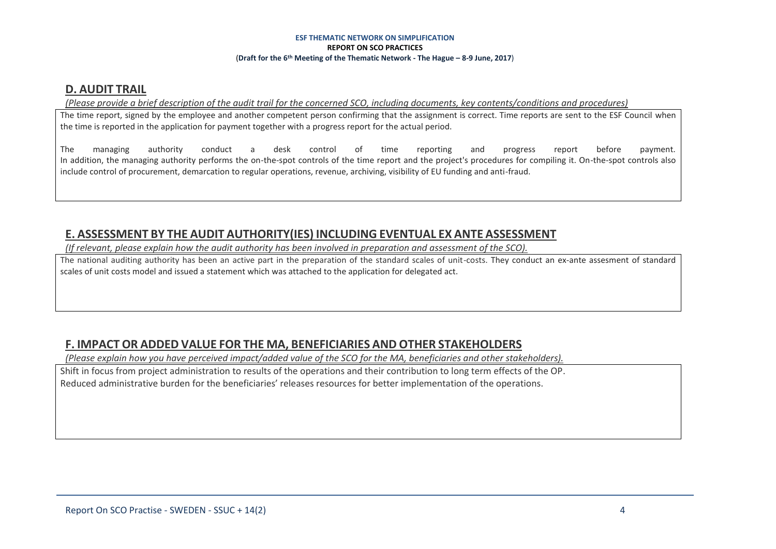### **D. AUDIT TRAIL**

### *(Please provide a brief description of the audit trail for the concerned SCO, including documents, key contents/conditions and procedures)*

The time report, signed by the employee and another competent person confirming that the assignment is correct. Time reports are sent to the ESF Council when the time is reported in the application for payment together with a progress report for the actual period.

The managing authority conduct a desk control of time reporting and progress report before payment. In addition, the managing authority performs the on-the-spot controls of the time report and the project's procedures for compiling it. On-the-spot controls also include control of procurement, demarcation to regular operations, revenue, archiving, visibility of EU funding and anti-fraud.

# **E. ASSESSMENT BY THE AUDIT AUTHORITY(IES) INCLUDING EVENTUAL EX ANTE ASSESSMENT**

*(If relevant, please explain how the audit authority has been involved in preparation and assessment of the SCO).* 

The national auditing authority has been an active part in the preparation of the standard scales of unit-costs. They conduct an ex-ante assesment of standard scales of unit costs model and issued a statement which was attached to the application for delegated act.

# **F. IMPACT OR ADDED VALUE FOR THE MA, BENEFICIARIES AND OTHER STAKEHOLDERS**

*(Please explain how you have perceived impact/added value of the SCO for the MA, beneficiaries and other stakeholders).* 

Shift in focus from project administration to results of the operations and their contribution to long term effects of the OP. Reduced administrative burden for the beneficiaries' releases resources for better implementation of the operations.